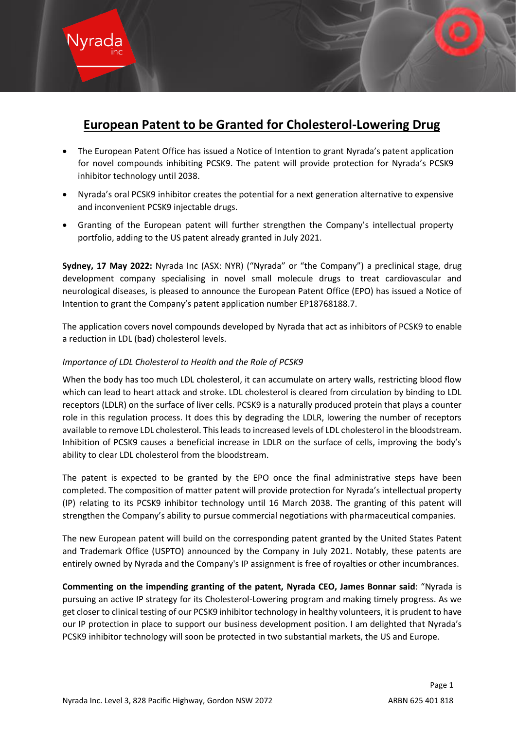# **European Patent to be Granted for Cholesterol-Lowering Drug**

- The European Patent Office has issued a Notice of Intention to grant Nyrada's patent application for novel compounds inhibiting PCSK9. The patent will provide protection for Nyrada's PCSK9 inhibitor technology until 2038.
- Nyrada's oral PCSK9 inhibitor creates the potential for a next generation alternative to expensive and inconvenient PCSK9 injectable drugs.
- Granting of the European patent will further strengthen the Company's intellectual property portfolio, adding to the US patent already granted in July 2021.

**Sydney, 17 May 2022:** Nyrada Inc (ASX: NYR) ("Nyrada" or "the Company") a preclinical stage, drug development company specialising in novel small molecule drugs to treat cardiovascular and neurological diseases, is pleased to announce the European Patent Office (EPO) has issued a Notice of Intention to grant the Company's patent application number EP18768188.7.

The application covers novel compounds developed by Nyrada that act as inhibitors of PCSK9 to enable a reduction in LDL (bad) cholesterol levels.

# *Importance of LDL Cholesterol to Health and the Role of PCSK9*

When the body has too much LDL cholesterol, it can accumulate on artery walls, restricting blood flow which can lead to heart attack and stroke. LDL cholesterol is cleared from circulation by binding to LDL receptors (LDLR) on the surface of liver cells. PCSK9 is a naturally produced protein that plays a counter role in this regulation process. It does this by degrading the LDLR, lowering the number of receptors available to remove LDL cholesterol. This leads to increased levels of LDL cholesterol in the bloodstream. Inhibition of PCSK9 causes a beneficial increase in LDLR on the surface of cells, improving the body's ability to clear LDL cholesterol from the bloodstream.

The patent is expected to be granted by the EPO once the final administrative steps have been completed. The composition of matter patent will provide protection for Nyrada's intellectual property (IP) relating to its PCSK9 inhibitor technology until 16 March 2038. The granting of this patent will strengthen the Company's ability to pursue commercial negotiations with pharmaceutical companies.

The new European patent will build on the corresponding patent granted by the United States Patent and Trademark Office (USPTO) announced by the Company in July 2021. Notably, these patents are entirely owned by Nyrada and the Company's IP assignment is free of royalties or other incumbrances.

**Commenting on the impending granting of the patent, Nyrada CEO, James Bonnar said**: "Nyrada is pursuing an active IP strategy for its Cholesterol-Lowering program and making timely progress. As we get closer to clinical testing of our PCSK9 inhibitor technology in healthy volunteers, it is prudent to have our IP protection in place to support our business development position. I am delighted that Nyrada's PCSK9 inhibitor technology will soon be protected in two substantial markets, the US and Europe.